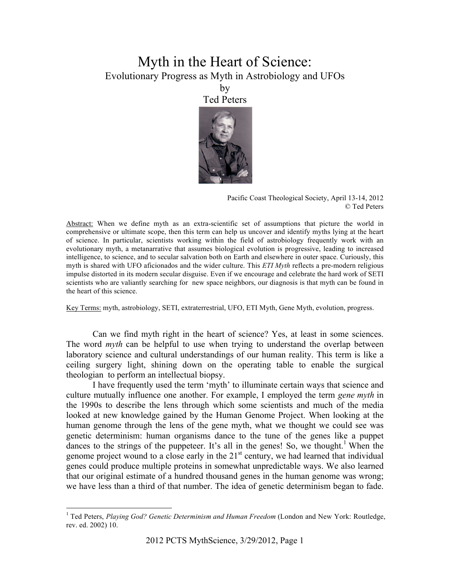# Myth in the Heart of Science: Evolutionary Progress as Myth in Astrobiology and UFOs

by Ted Peters



Pacific Coast Theological Society, April 13-14, 2012 © Ted Peters

Abstract: When we define myth as an extra-scientific set of assumptions that picture the world in comprehensive or ultimate scope, then this term can help us uncover and identify myths lying at the heart of science. In particular, scientists working within the field of astrobiology frequently work with an evolutionary myth, a metanarrative that assumes biological evolution is progressive, leading to increased intelligence, to science, and to secular salvation both on Earth and elsewhere in outer space. Curiously, this myth is shared with UFO aficionados and the wider culture. This *ETI Myth* reflects a pre-modern religious impulse distorted in its modern secular disguise. Even if we encourage and celebrate the hard work of SETI scientists who are valiantly searching for new space neighbors, our diagnosis is that myth can be found in the heart of this science.

Key Terms: myth, astrobiology, SETI, extraterrestrial, UFO, ETI Myth, Gene Myth, evolution, progress.

Can we find myth right in the heart of science? Yes, at least in some sciences. The word *myth* can be helpful to use when trying to understand the overlap between laboratory science and cultural understandings of our human reality. This term is like a ceiling surgery light, shining down on the operating table to enable the surgical theologian to perform an intellectual biopsy.

I have frequently used the term 'myth' to illuminate certain ways that science and culture mutually influence one another. For example, I employed the term *gene myth* in the 1990s to describe the lens through which some scientists and much of the media looked at new knowledge gained by the Human Genome Project. When looking at the human genome through the lens of the gene myth, what we thought we could see was genetic determinism: human organisms dance to the tune of the genes like a puppet dances to the strings of the puppeteer. It's all in the genes! So, we thought.<sup>1</sup> When the genome project wound to a close early in the  $21<sup>st</sup>$  century, we had learned that individual genes could produce multiple proteins in somewhat unpredictable ways. We also learned that our original estimate of a hundred thousand genes in the human genome was wrong; we have less than a third of that number. The idea of genetic determinism began to fade.

 $\frac{1}{1}$ <sup>1</sup> Ted Peters, *Playing God? Genetic Determinism and Human Freedom* (London and New York: Routledge, rev. ed. 2002) 10.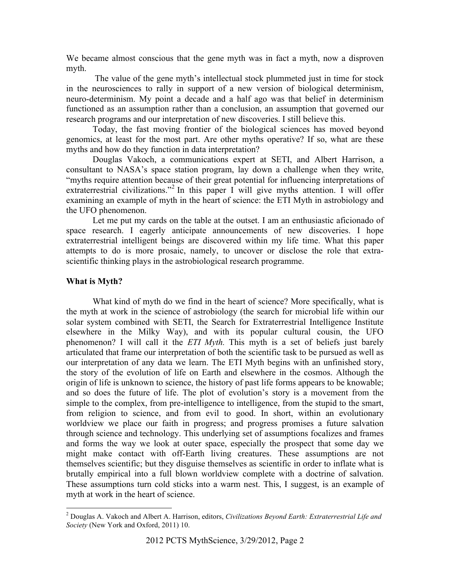We became almost conscious that the gene myth was in fact a myth, now a disproven myth.

The value of the gene myth's intellectual stock plummeted just in time for stock in the neurosciences to rally in support of a new version of biological determinism, neuro-determinism. My point a decade and a half ago was that belief in determinism functioned as an assumption rather than a conclusion, an assumption that governed our research programs and our interpretation of new discoveries. I still believe this.

Today, the fast moving frontier of the biological sciences has moved beyond genomics, at least for the most part. Are other myths operative? If so, what are these myths and how do they function in data interpretation?

Douglas Vakoch, a communications expert at SETI, and Albert Harrison, a consultant to NASA's space station program, lay down a challenge when they write, "myths require attention because of their great potential for influencing interpretations of extraterrestrial civilizations."<sup>2</sup> In this paper I will give myths attention. I will offer examining an example of myth in the heart of science: the ETI Myth in astrobiology and the UFO phenomenon.

Let me put my cards on the table at the outset. I am an enthusiastic aficionado of space research. I eagerly anticipate announcements of new discoveries. I hope extraterrestrial intelligent beings are discovered within my life time. What this paper attempts to do is more prosaic, namely, to uncover or disclose the role that extrascientific thinking plays in the astrobiological research programme.

# **What is Myth?**

What kind of myth do we find in the heart of science? More specifically, what is the myth at work in the science of astrobiology (the search for microbial life within our solar system combined with SETI, the Search for Extraterrestrial Intelligence Institute elsewhere in the Milky Way), and with its popular cultural cousin, the UFO phenomenon? I will call it the *ETI Myth.* This myth is a set of beliefs just barely articulated that frame our interpretation of both the scientific task to be pursued as well as our interpretation of any data we learn. The ETI Myth begins with an unfinished story, the story of the evolution of life on Earth and elsewhere in the cosmos. Although the origin of life is unknown to science, the history of past life forms appears to be knowable; and so does the future of life. The plot of evolution's story is a movement from the simple to the complex, from pre-intelligence to intelligence, from the stupid to the smart, from religion to science, and from evil to good. In short, within an evolutionary worldview we place our faith in progress; and progress promises a future salvation through science and technology. This underlying set of assumptions focalizes and frames and forms the way we look at outer space, especially the prospect that some day we might make contact with off-Earth living creatures. These assumptions are not themselves scientific; but they disguise themselves as scientific in order to inflate what is brutally empirical into a full blown worldview complete with a doctrine of salvation. These assumptions turn cold sticks into a warm nest. This, I suggest, is an example of myth at work in the heart of science.

 $\frac{1}{2}$  Douglas A. Vakoch and Albert A. Harrison, editors, *Civilizations Beyond Earth: Extraterrestrial Life and Society* (New York and Oxford, 2011) 10.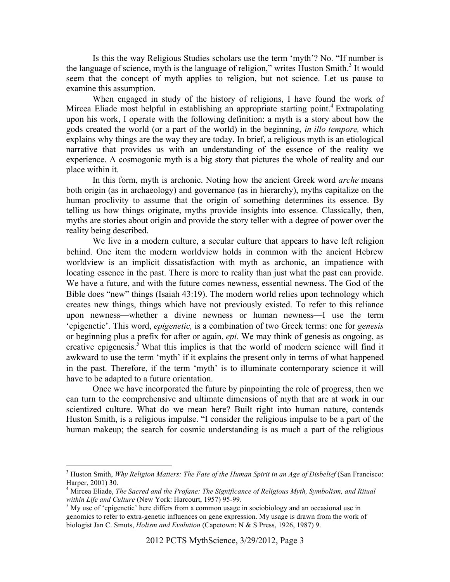Is this the way Religious Studies scholars use the term 'myth'? No. "If number is the language of science, myth is the language of religion," writes Huston Smith.<sup>3</sup> It would seem that the concept of myth applies to religion, but not science. Let us pause to examine this assumption.

When engaged in study of the history of religions, I have found the work of Mircea Eliade most helpful in establishing an appropriate starting point.<sup>4</sup> Extrapolating upon his work, I operate with the following definition: a myth is a story about how the gods created the world (or a part of the world) in the beginning, *in illo tempore,* which explains why things are the way they are today. In brief, a religious myth is an etiological narrative that provides us with an understanding of the essence of the reality we experience. A cosmogonic myth is a big story that pictures the whole of reality and our place within it.

In this form, myth is archonic. Noting how the ancient Greek word *arche* means both origin (as in archaeology) and governance (as in hierarchy), myths capitalize on the human proclivity to assume that the origin of something determines its essence. By telling us how things originate, myths provide insights into essence. Classically, then, myths are stories about origin and provide the story teller with a degree of power over the reality being described.

We live in a modern culture, a secular culture that appears to have left religion behind. One item the modern worldview holds in common with the ancient Hebrew worldview is an implicit dissatisfaction with myth as archonic, an impatience with locating essence in the past. There is more to reality than just what the past can provide. We have a future, and with the future comes newness, essential newness. The God of the Bible does "new" things (Isaiah 43:19). The modern world relies upon technology which creates new things, things which have not previously existed. To refer to this reliance upon newness—whether a divine newness or human newness—I use the term 'epigenetic'. This word, *epigenetic,* is a combination of two Greek terms: one for *genesis* or beginning plus a prefix for after or again, *epi*. We may think of genesis as ongoing, as creative epigenesis.<sup>5</sup> What this implies is that the world of modern science will find it awkward to use the term 'myth' if it explains the present only in terms of what happened in the past. Therefore, if the term 'myth' is to illuminate contemporary science it will have to be adapted to a future orientation.

Once we have incorporated the future by pinpointing the role of progress, then we can turn to the comprehensive and ultimate dimensions of myth that are at work in our scientized culture. What do we mean here? Built right into human nature, contends Huston Smith, is a religious impulse. "I consider the religious impulse to be a part of the human makeup; the search for cosmic understanding is as much a part of the religious

<sup>&</sup>lt;sup>2</sup><br>3 <sup>3</sup> Huston Smith, *Why Religion Matters: The Fate of the Human Spirit in an Age of Disbelief (San Francisco:* Harper, 2001) 30.

<sup>&</sup>lt;sup>4</sup> Mircea Eliade, *The Sacred and the Profane: The Significance of Religious Myth, Symbolism, and Ritual within Life and Culture* (New York: Harcourt, 1957) 95-99.

<sup>&</sup>lt;sup>5</sup> My use of 'epigenetic' here differs from a common usage in sociobiology and an occasional use in genomics to refer to extra-genetic influences on gene expression. My usage is drawn from the work of biologist Jan C. Smuts, *Holism and Evolution* (Capetown: N & S Press, 1926, 1987) 9.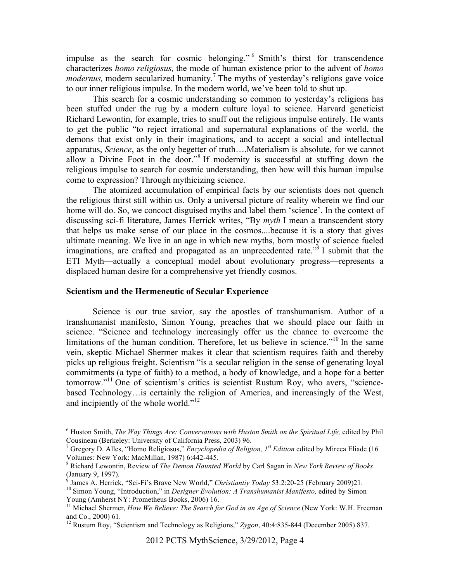impulse as the search for cosmic belonging." <sup>6</sup> Smith's thirst for transcendence characterizes *homo religiosus,* the mode of human existence prior to the advent of *homo modernus*, modern secularized humanity.<sup>7</sup> The myths of yesterday's religions gave voice to our inner religious impulse. In the modern world, we've been told to shut up.

This search for a cosmic understanding so common to yesterday's religions has been stuffed under the rug by a modern culture loyal to science. Harvard geneticist Richard Lewontin, for example, tries to snuff out the religious impulse entirely. He wants to get the public "to reject irrational and supernatural explanations of the world, the demons that exist only in their imaginations, and to accept a social and intellectual apparatus, *Science*, as the only begetter of truth….Materialism is absolute, for we cannot allow a Divine Foot in the door."<sup>8</sup> If modernity is successful at stuffing down the religious impulse to search for cosmic understanding, then how will this human impulse come to expression? Through mythicizing science.

The atomized accumulation of empirical facts by our scientists does not quench the religious thirst still within us. Only a universal picture of reality wherein we find our home will do. So, we concoct disguised myths and label them 'science'. In the context of discussing sci-fi literature, James Herrick writes, "By *myth* I mean a transcendent story that helps us make sense of our place in the cosmos....because it is a story that gives ultimate meaning. We live in an age in which new myths, born mostly of science fueled imaginations, are crafted and propagated as an unprecedented rate.<sup> $\dot{p}$ </sup> I submit that the ETI Myth—actually a conceptual model about evolutionary progress—represents a displaced human desire for a comprehensive yet friendly cosmos.

## **Scientism and the Hermeneutic of Secular Experience**

Science is our true savior, say the apostles of transhumanism. Author of a transhumanist manifesto, Simon Young, preaches that we should place our faith in science. "Science and technology increasingly offer us the chance to overcome the limitations of the human condition. Therefore, let us believe in science.<sup> $10$ </sup> In the same vein, skeptic Michael Shermer makes it clear that scientism requires faith and thereby picks up religious freight. Scientism "is a secular religion in the sense of generating loyal commitments (a type of faith) to a method, a body of knowledge, and a hope for a better tomorrow."<sup>11</sup> One of scientism's critics is scientist Rustum Roy, who avers, "sciencebased Technology…is certainly the religion of America, and increasingly of the West, and incipiently of the whole world."<sup>12</sup>

<sup>&</sup>lt;sup>6</sup> Huston Smith, *The Way Things Are: Conversations with Huston Smith on the Spiritual Life*, edited by Phil Cousineau (Berkeley: University of California Press, 2003) 96. <sup>7</sup>

Gregory D. Alles, "Homo Religiosus," *Encyclopedia of Religion, 1st Edition* edited by Mircea Eliade (16 Volumes: New York: MacMillan, 1987) 6:442-445. <sup>8</sup>

Richard Lewontin, Review of *The Demon Haunted World* by Carl Sagan in *New York Review of Books* (January 9, 1997).<br><sup>9</sup> James A. Herrick, "Sci-Fi's Brave New World," Christiantiv Todav 53:2:20-25 (February 2009)21.

<sup>&</sup>lt;sup>10</sup> Simon Young, "Introduction," in *Designer Evolution: A Transhumanist Manifesto*, edited by Simon Young (Amherst NY: Prometheus Books, 2006) 16.

<sup>&</sup>lt;sup>11</sup> Michael Shermer, *How We Believe: The Search for God in an Age of Science* (New York: W.H. Freeman and Co., 2000) 61.

<sup>&</sup>lt;sup>12</sup> Rustum Roy, "Scientism and Technology as Religions," *Zygon*, 40:4:835-844 (December 2005) 837.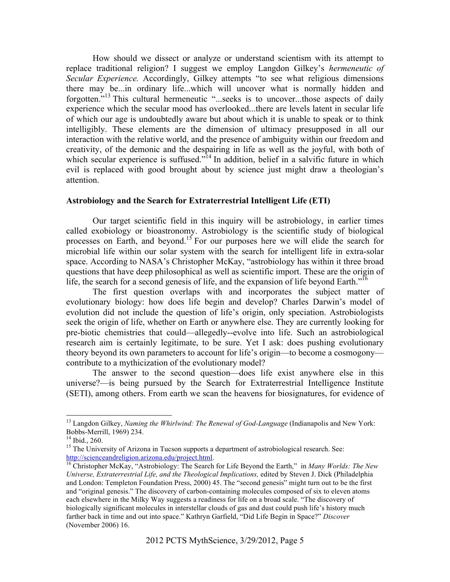How should we dissect or analyze or understand scientism with its attempt to replace traditional religion? I suggest we employ Langdon Gilkey's *hermeneutic of Secular Experience.* Accordingly, Gilkey attempts "to see what religious dimensions there may be...in ordinary life...which will uncover what is normally hidden and forgotten."<sup>13</sup> This cultural hermeneutic "...seeks is to uncover...those aspects of daily experience which the secular mood has overlooked...there are levels latent in secular life of which our age is undoubtedly aware but about which it is unable to speak or to think intelligibly. These elements are the dimension of ultimacy presupposed in all our interaction with the relative world, and the presence of ambiguity within our freedom and creativity, of the demonic and the despairing in life as well as the joyful, with both of which secular experience is suffused."<sup>14</sup> In addition, belief in a salvific future in which evil is replaced with good brought about by science just might draw a theologian's attention.

#### **Astrobiology and the Search for Extraterrestrial Intelligent Life (ETI)**

Our target scientific field in this inquiry will be astrobiology, in earlier times called exobiology or bioastronomy. Astrobiology is the scientific study of biological processes on Earth, and beyond.<sup>15</sup> For our purposes here we will elide the search for microbial life within our solar system with the search for intelligent life in extra-solar space. According to NASA's Christopher McKay, "astrobiology has within it three broad questions that have deep philosophical as well as scientific import. These are the origin of life, the search for a second genesis of life, and the expansion of life beyond Earth."<sup>16</sup>

The first question overlaps with and incorporates the subject matter of evolutionary biology: how does life begin and develop? Charles Darwin's model of evolution did not include the question of life's origin, only speciation. Astrobiologists seek the origin of life, whether on Earth or anywhere else. They are currently looking for pre-biotic chemistries that could—allegedly--evolve into life. Such an astrobiological research aim is certainly legitimate, to be sure. Yet I ask: does pushing evolutionary theory beyond its own parameters to account for life's origin—to become a cosmogony contribute to a mythicization of the evolutionary model?

The answer to the second question—does life exist anywhere else in this universe?—is being pursued by the Search for Extraterrestrial Intelligence Institute (SETI), among others. From earth we scan the heavens for biosignatures, for evidence of

 <sup>13</sup> Langdon Gilkey, *Naming the Whirlwind: The Renewal of God-Language* (Indianapolis and New York: Bobbs-Merrill, 1969) 234. 14 Ibid., 260.

<sup>&</sup>lt;sup>15</sup> The University of Arizona in Tucson supports a department of astrobiological research. See:<br>http://scienceandreligion.arizona.edu/project.html.

<sup>&</sup>lt;sup>16</sup> Christopher McKay, "Astrobiology: The Search for Life Beyond the Earth," in *Many Worlds: The New Universe, Extraterrestrial Life, and the Theological Implications,* edited by Steven J. Dick (Philadelphia and London: Templeton Foundation Press, 2000) 45. The "second genesis" might turn out to be the first and "original genesis." The discovery of carbon-containing molecules composed of six to eleven atoms each elsewhere in the Milky Way suggests a readiness for life on a broad scale. "The discovery of biologically significant molecules in interstellar clouds of gas and dust could push life's history much farther back in time and out into space." Kathryn Garfield, "Did Life Begin in Space?" *Discover*  (November 2006) 16.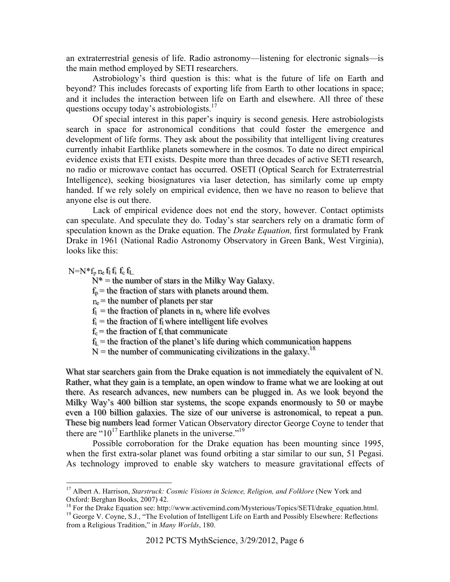an extraterrestrial genesis of life. Radio astronomy—listening for electronic signals—is the main method employed by SETI researchers.

Astrobiology's third question is this: what is the future of life on Earth and beyond? This includes forecasts of exporting life from Earth to other locations in space; and it includes the interaction between life on Earth and elsewhere. All three of these questions occupy today's astrobiologists.<sup>17</sup>

Of special interest in this paper's inquiry is second genesis. Here astrobiologists search in space for astronomical conditions that could foster the emergence and development of life forms. They ask about the possibility that intelligent living creatures currently inhabit Earthlike planets somewhere in the cosmos. To date no direct empirical evidence exists that ETI exists. Despite more than three decades of active SETI research, no radio or microwave contact has occurred. OSETI (Optical Search for Extraterrestrial Intelligence), seeking biosignatures via laser detection, has similarly come up empty handed. If we rely solely on empirical evidence, then we have no reason to believe that anyone else is out there.

Lack of empirical evidence does not end the story, however. Contact optimists can speculate. And speculate they do. Today's star searchers rely on a dramatic form of speculation known as the Drake equation. The *Drake Equation,* first formulated by Frank Drake in 1961 (National Radio Astronomy Observatory in Green Bank, West Virginia), looks like this:

 $N=N*f_n n_e$  fi fi fe ft.

 $N^*$  = the number of stars in the Milky Way Galaxy.

 $f_p$ = the fraction of stars with planets around them.

 $n_e$  = the number of planets per star

 $f_1$  = the fraction of planets in  $n_e$  where life evolves

 $f_i$  = the fraction of  $f_i$  where intelligent life evolves

 $f_c$  = the fraction of  $f_i$  that communicate

 $f_L$ = the fraction of the planet's life during which communication happens

 $N =$  the number of communicating civilizations in the galaxy.<sup>18</sup>

What star searchers gain from the Drake equation is not immediately the equivalent of N. Rather, what they gain is a template, an open window to frame what we are looking at out there. As research advances, new numbers can be plugged in. As we look beyond the Milky Way's 400 billion star systems, the scope expands enormously to 50 or maybe even a 100 billion galaxies. The size of our universe is astronomical, to repeat a pun. These big numbers lead former Vatican Observatory director George Coyne to tender that there are "10<sup>17</sup> Earthlike planets in the universe."<sup>19</sup>

Possible corroboration for the Drake equation has been mounting since 1995, when the first extra-solar planet was found orbiting a star similar to our sun, 51 Pegasi. As technology improved to enable sky watchers to measure gravitational effects of

<sup>&</sup>lt;sup>17</sup> Albert A. Harrison, *Starstruck: Cosmic Visions in Science, Religion, and Folklore* (New York and Oxford: Berghan Books, 2007) 42.

<sup>&</sup>lt;sup>18</sup> For the Drake Equation see: http://www.activemind.com/Mysterious/Topics/SETI/drake\_equation.html. <sup>19</sup> George V. Coyne, S.J., "The Evolution of Intelligent Life on Earth and Possibly Elsewhere: Reflections from a Religious Tradition," in *Many Worlds*, 180.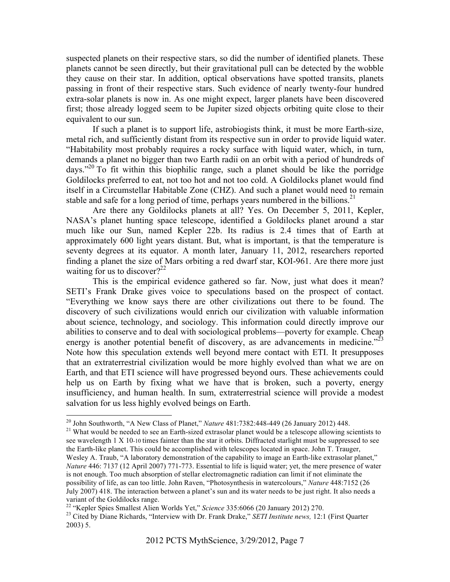suspected planets on their respective stars, so did the number of identified planets. These planets cannot be seen directly, but their gravitational pull can be detected by the wobble they cause on their star. In addition, optical observations have spotted transits, planets passing in front of their respective stars. Such evidence of nearly twenty-four hundred extra-solar planets is now in. As one might expect, larger planets have been discovered first; those already logged seem to be Jupiter sized objects orbiting quite close to their equivalent to our sun.

If such a planet is to support life, astrobiogists think, it must be more Earth-size, metal rich, and sufficiently distant from its respective sun in order to provide liquid water. "Habitability most probably requires a rocky surface with liquid water, which, in turn, demands a planet no bigger than two Earth radii on an orbit with a period of hundreds of days."<sup>20</sup> To fit within this biophilic range, such a planet should be like the porridge Goldilocks preferred to eat, not too hot and not too cold. A Goldilocks planet would find itself in a Circumstellar Habitable Zone (CHZ). And such a planet would need to remain stable and safe for a long period of time, perhaps years numbered in the billions.<sup>21</sup>

Are there any Goldilocks planets at all? Yes. On December 5, 2011, Kepler, NASA's planet hunting space telescope, identified a Goldilocks planet around a star much like our Sun, named Kepler 22b. Its radius is 2.4 times that of Earth at approximately 600 light years distant. But, what is important, is that the temperature is seventy degrees at its equator. A month later, January 11, 2012, researchers reported finding a planet the size of Mars orbiting a red dwarf star, KOI-961. Are there more just waiting for us to discover?<sup>22</sup>

This is the empirical evidence gathered so far. Now, just what does it mean? SETI's Frank Drake gives voice to speculations based on the prospect of contact. "Everything we know says there are other civilizations out there to be found. The discovery of such civilizations would enrich our civilization with valuable information about science, technology, and sociology. This information could directly improve our abilities to conserve and to deal with sociological problems—poverty for example. Cheap energy is another potential benefit of discovery, as are advancements in medicine."<sup>23</sup> Note how this speculation extends well beyond mere contact with ETI. It presupposes that an extraterrestrial civilization would be more highly evolved than what we are on Earth, and that ETI science will have progressed beyond ours. These achievements could help us on Earth by fixing what we have that is broken, such a poverty, energy insufficiency, and human health. In sum, extraterrestrial science will provide a modest salvation for us less highly evolved beings on Earth.

<sup>&</sup>lt;sup>20</sup> John Southworth, "A New Class of Planet," *Nature* 481:7382:448-449 (26 January 2012) 448.<br><sup>21</sup> What would be needed to see an Earth-sized extrasolar planet would be a telescope allowing scientists to

see wavelength 1 X 10-10 times fainter than the star it orbits. Diffracted starlight must be suppressed to see the Earth-like planet. This could be accomplished with telescopes located in space. John T. Trauger, Wesley A. Traub, "A laboratory demonstration of the capability to image an Earth-like extrasolar planet," *Nature* 446: 7137 (12 April 2007) 771-773. Essential to life is liquid water; yet, the mere presence of water is not enough. Too much absorption of stellar electromagnetic radiation can limit if not eliminate the possibility of life, as can too little. John Raven, "Photosynthesis in watercolours," *Nature* 448:7152 (26 July 2007) 418. The interaction between a planet's sun and its water needs to be just right. It also needs a variant of the Goldilocks range.<br><sup>22</sup> "Kepler Spies Smallest Alien Worlds Yet," Science 335:6066 (20 January 2012) 270.

<sup>&</sup>lt;sup>23</sup> Cited by Diane Richards, "Interview with Dr. Frank Drake," *SETI Institute news,* 12:1 (First Quarter 2003) 5.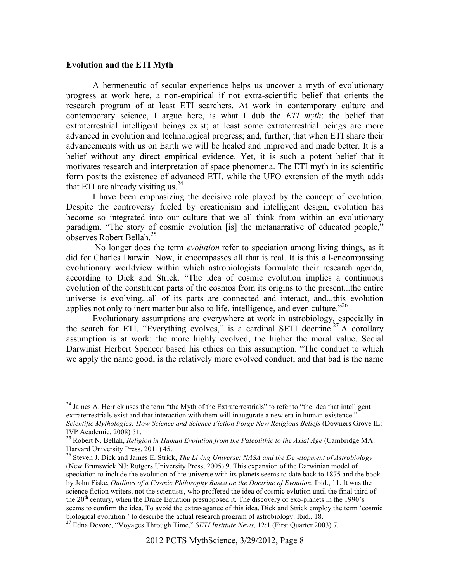## **Evolution and the ETI Myth**

A hermeneutic of secular experience helps us uncover a myth of evolutionary progress at work here, a non-empirical if not extra-scientific belief that orients the research program of at least ETI searchers. At work in contemporary culture and contemporary science, I argue here, is what I dub the *ETI myth*: the belief that extraterrestrial intelligent beings exist; at least some extraterrestrial beings are more advanced in evolution and technological progress; and, further, that when ETI share their advancements with us on Earth we will be healed and improved and made better. It is a belief without any direct empirical evidence. Yet, it is such a potent belief that it motivates research and interpretation of space phenomena. The ETI myth in its scientific form posits the existence of advanced ETI, while the UFO extension of the myth adds that ETI are already visiting us. $^{24}$ 

I have been emphasizing the decisive role played by the concept of evolution. Despite the controversy fueled by creationism and intelligent design, evolution has become so integrated into our culture that we all think from within an evolutionary paradigm. "The story of cosmic evolution [is] the metanarrative of educated people," observes Robert Bellah.25

 No longer does the term *evolution* refer to speciation among living things, as it did for Charles Darwin. Now, it encompasses all that is real. It is this all-encompassing evolutionary worldview within which astrobiologists formulate their research agenda, according to Dick and Strick. "The idea of cosmic evolution implies a continuous evolution of the constituent parts of the cosmos from its origins to the present...the entire universe is evolving...all of its parts are connected and interact, and...this evolution applies not only to inert matter but also to life, intelligence, and even culture."<sup>26</sup>

Evolutionary assumptions are everywhere at work in astrobiology, especially in the search for ETI. "Everything evolves," is a cardinal SETI doctrine.<sup>27</sup> A corollary assumption is at work: the more highly evolved, the higher the moral value. Social Darwinist Herbert Spencer based his ethics on this assumption. "The conduct to which we apply the name good, is the relatively more evolved conduct; and that bad is the name

<sup>&</sup>lt;sup>24</sup> James A. Herrick uses the term "the Myth of the Extraterrestrials" to refer to "the idea that intelligent extraterrestrials exist and that interaction with them will inaugurate a new era in human existence." *Scientific Mythologies: How Science and Science Fiction Forge New Religious Beliefs* (Downers Grove IL:

IVP Academic, 2008) 51. 25 Robert N. Bellah, *Religion in Human Evolution from the Paleolithic to the Axial Age* (Cambridge MA: Harvard University Press, 2011) 45.

<sup>26</sup> Steven J. Dick and James E. Strick, *The Living Universe: NASA and the Development of Astrobiology*  (New Brunswick NJ: Rutgers University Press, 2005) 9. This expansion of the Darwinian model of speciation to include the evolution of hte universe with its planets seems to date back to 1875 and the book by John Fiske, *Outlines of a Cosmic Philosophy Based on the Doctrine of Evoution.* Ibid., 11. It was the science fiction writers, not the scientists, who proffered the idea of cosmic evlution until the final third of the  $20<sup>th</sup>$  century, when the Drake Equation presupposed it. The discovery of exo-planets in the 1990's seems to confirm the idea. To avoid the extravagance of this idea, Dick and Strick employ the term 'cosmic biological evolution:' to describe the actual research program of astrobiology. Ibid., 18.

<sup>27</sup> Edna Devore, "Voyages Through Time," *SETI Institute News,* 12:1 (First Quarter 2003) 7.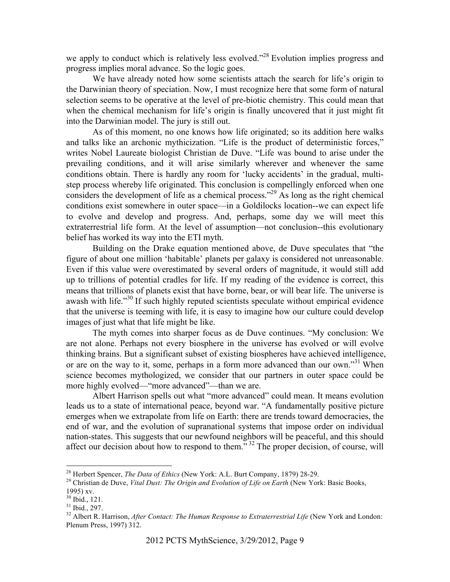we apply to conduct which is relatively less evolved."<sup>28</sup> Evolution implies progress and progress implies moral advance. So the logic goes.

We have already noted how some scientists attach the search for life's origin to the Darwinian theory of speciation. Now, I must recognize here that some form of natural selection seems to be operative at the level of pre-biotic chemistry. This could mean that when the chemical mechanism for life's origin is finally uncovered that it just might fit into the Darwinian model. The jury is still out.

As of this moment, no one knows how life originated; so its addition here walks and talks like an archonic mythicization. "Life is the product of deterministic forces," writes Nobel Laureate biologist Christian de Duve. "Life was bound to arise under the prevailing conditions, and it will arise similarly wherever and whenever the same conditions obtain. There is hardly any room for 'lucky accidents' in the gradual, multistep process whereby life originated. This conclusion is compellingly enforced when one considers the development of life as a chemical process."<sup>29</sup> As long as the right chemical conditions exist somewhere in outer space—in a Goldilocks location--we can expect life to evolve and develop and progress. And, perhaps, some day we will meet this extraterrestrial life form. At the level of assumption—not conclusion--this evolutionary belief has worked its way into the ETI myth.

Building on the Drake equation mentioned above, de Duve speculates that "the figure of about one million 'habitable' planets per galaxy is considered not unreasonable. Even if this value were overestimated by several orders of magnitude, it would still add up to trillions of potential cradles for life. If my reading of the evidence is correct, this means that trillions of planets exist that have borne, bear, or will bear life. The universe is awash with life."<sup>30</sup> If such highly reputed scientists speculate without empirical evidence that the universe is teeming with life, it is easy to imagine how our culture could develop images of just what that life might be like.

The myth comes into sharper focus as de Duve continues. "My conclusion: We are not alone. Perhaps not every biosphere in the universe has evolved or will evolve thinking brains. But a significant subset of existing biospheres have achieved intelligence, or are on the way to it, some, perhaps in a form more advanced than our own."<sup>31</sup> When science becomes mythologized, we consider that our partners in outer space could be more highly evolved—"more advanced"—than we are.

Albert Harrison spells out what "more advanced" could mean. It means evolution leads us to a state of international peace, beyond war. "A fundamentally positive picture emerges when we extrapolate from life on Earth: there are trends toward democracies, the end of war, and the evolution of supranational systems that impose order on individual nation-states. This suggests that our newfound neighbors will be peaceful, and this should affect our decision about how to respond to them.<sup>33</sup> The proper decision, of course, will

<sup>&</sup>lt;sup>28</sup> Herbert Spencer, *The Data of Ethics* (New York: A.L. Burt Company, 1879) 28-29.<br><sup>29</sup> Christian de Duve, *Vital Dust: The Origin and Evolution of Life on Earth* (New York: Basic Books, 1995) xv.

<sup>30</sup> Ibid., 121.

 $31$  Ibid., 297.

<sup>&</sup>lt;sup>32</sup> Albert R. Harrison, *After Contact: The Human Response to Extraterrestrial Life* (New York and London: Plenum Press, 1997) 312.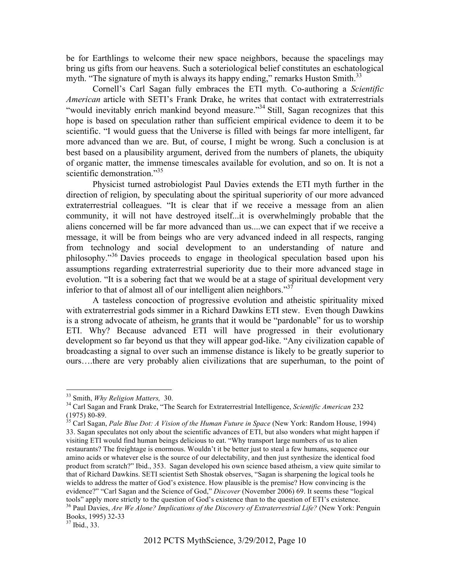be for Earthlings to welcome their new space neighbors, because the spacelings may bring us gifts from our heavens. Such a soteriological belief constitutes an eschatological myth. "The signature of myth is always its happy ending," remarks Huston Smith. $33$ 

Cornell's Carl Sagan fully embraces the ETI myth. Co-authoring a *Scientific American* article with SETI's Frank Drake, he writes that contact with extraterrestrials "would inevitably enrich mankind beyond measure."<sup>34</sup> Still, Sagan recognizes that this hope is based on speculation rather than sufficient empirical evidence to deem it to be scientific. "I would guess that the Universe is filled with beings far more intelligent, far more advanced than we are. But, of course, I might be wrong. Such a conclusion is at best based on a plausibility argument, derived from the numbers of planets, the ubiquity of organic matter, the immense timescales available for evolution, and so on. It is not a scientific demonstration."<sup>35</sup>

Physicist turned astrobiologist Paul Davies extends the ETI myth further in the direction of religion, by speculating about the spiritual superiority of our more advanced extraterrestrial colleagues. "It is clear that if we receive a message from an alien community, it will not have destroyed itself...it is overwhelmingly probable that the aliens concerned will be far more advanced than us....we can expect that if we receive a message, it will be from beings who are very advanced indeed in all respects, ranging from technology and social development to an understanding of nature and philosophy."36 Davies proceeds to engage in theological speculation based upon his assumptions regarding extraterrestrial superiority due to their more advanced stage in evolution. "It is a sobering fact that we would be at a stage of spiritual development very inferior to that of almost all of our intelligent alien neighbors." $37$ 

A tasteless concoction of progressive evolution and atheistic spirituality mixed with extraterrestrial gods simmer in a Richard Dawkins ETI stew. Even though Dawkins is a strong advocate of atheism, he grants that it would be "pardonable" for us to worship ETI. Why? Because advanced ETI will have progressed in their evolutionary development so far beyond us that they will appear god-like. "Any civilization capable of broadcasting a signal to over such an immense distance is likely to be greatly superior to ours….there are very probably alien civilizations that are superhuman, to the point of

<sup>&</sup>lt;sup>33</sup> Smith, *Why Religion Matters,* 30.<br><sup>34</sup> Carl Sagan and Frank Drake, "The Search for Extraterrestrial Intelligence, *Scientific American* 232 (1975) 80-89. 35 Carl Sagan, *Pale Blue Dot: A Vision of the Human Future in Space* (New York: Random House, 1994)

<sup>33.</sup> Sagan speculates not only about the scientific advances of ETI, but also wonders what might happen if visiting ETI would find human beings delicious to eat. "Why transport large numbers of us to alien restaurants? The freightage is enormous. Wouldn't it be better just to steal a few humans, sequence our amino acids or whatever else is the source of our delectability, and then just synthesize the identical food product from scratch?" Ibid., 353. Sagan developed his own science based atheism, a view quite similar to that of Richard Dawkins. SETI scientist Seth Shostak observes, "Sagan is sharpening the logical tools he wields to address the matter of God's existence. How plausible is the premise? How convincing is the evidence?" "Carl Sagan and the Science of God," *Discover* (November 2006) 69. It seems these "logical tools" apply more strictly to the question of God's existence than to the question of ETI's existence.

<sup>&</sup>lt;sup>36</sup> Paul Davies, Are We Alone? Implications of the Discovery of Extraterrestrial Life? (New York: Penguin Books, 1995) 32-33 37 Ibid., 33.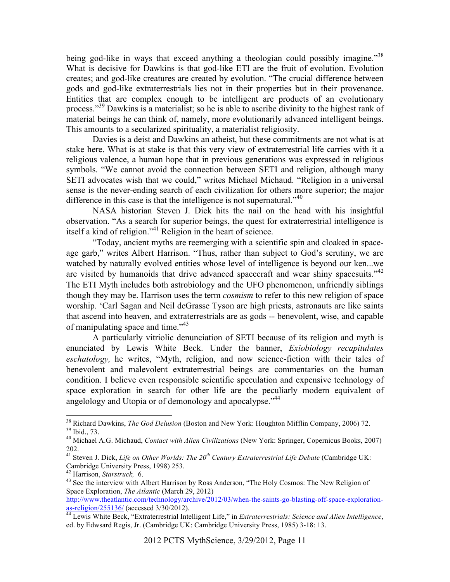being god-like in ways that exceed anything a theologian could possibly imagine.<sup>338</sup> What is decisive for Dawkins is that god-like ETI are the fruit of evolution. Evolution creates; and god-like creatures are created by evolution. "The crucial difference between gods and god-like extraterrestrials lies not in their properties but in their provenance. Entities that are complex enough to be intelligent are products of an evolutionary process."<sup>39</sup> Dawkins is a materialist; so he is able to ascribe divinity to the highest rank of material beings he can think of, namely, more evolutionarily advanced intelligent beings. This amounts to a secularized spirituality, a materialist religiosity.

Davies is a deist and Dawkins an atheist, but these commitments are not what is at stake here. What is at stake is that this very view of extraterrestrial life carries with it a religious valence, a human hope that in previous generations was expressed in religious symbols. "We cannot avoid the connection between SETI and religion, although many SETI advocates wish that we could," writes Michael Michaud. "Religion in a universal sense is the never-ending search of each civilization for others more superior; the major difference in this case is that the intelligence is not supernatural."<sup>40</sup>

NASA historian Steven J. Dick hits the nail on the head with his insightful observation. "As a search for superior beings, the quest for extraterrestrial intelligence is itself a kind of religion."41 Religion in the heart of science.

"Today, ancient myths are reemerging with a scientific spin and cloaked in spaceage garb," writes Albert Harrison. "Thus, rather than subject to God's scrutiny, we are watched by naturally evolved entities whose level of intelligence is beyond our ken...we are visited by humanoids that drive advanced spacecraft and wear shiny spacesuits.<sup> $142$ </sup> The ETI Myth includes both astrobiology and the UFO phenomenon, unfriendly siblings though they may be. Harrison uses the term *cosmism* to refer to this new religion of space worship. 'Carl Sagan and Neil deGrasse Tyson are high priests, astronauts are like saints that ascend into heaven, and extraterrestrials are as gods -- benevolent, wise, and capable of manipulating space and time."<sup>43</sup>

A particularly vitriolic denunciation of SETI because of its religion and myth is enunciated by Lewis White Beck. Under the banner, *Exiobiology recapitulates eschatology,* he writes, "Myth, religion, and now science-fiction with their tales of benevolent and malevolent extraterrestrial beings are commentaries on the human condition. I believe even responsible scientific speculation and expensive technology of space exploration in search for other life are the peculiarly modern equivalent of angelology and Utopia or of demonology and apocalypse.<sup>"44</sup>

http://www.theatlantic.com/technology/archive/2012/03/when-the-saints-go-blasting-off-space-explorationas-religion/255136/ (accessed 3/30/2012). 44 Lewis White Beck, "Extraterrestrial Intelligent Life," in *Extraterrestrials: Science and Alien Intelligence*,

<sup>&</sup>lt;sup>38</sup> Richard Dawkins, *The God Delusion* (Boston and New York: Houghton Mifflin Company, 2006) 72.<br><sup>39</sup> Ibid., 73.

<sup>40</sup> Michael A.G. Michaud, *Contact with Alien Civilizations* (New York: Springer, Copernicus Books, 2007) 202.

<sup>&</sup>lt;sup>41</sup> Steven J. Dick, *Life on Other Worlds: The 20<sup>th</sup> Century Extraterrestrial Life Debate* (Cambridge UK: Cambridge University Press, 1998) 253.<br><sup>42</sup> Harrison, *Starstruck*, <sup>6</sup>.<br><sup>43</sup> See the interview with Albert Harrison by Ross Anderson, "The Holy Cosmos: The New Religion of

Space Exploration, *The Atlantic* (March 29, 2012)

ed. by Edwsard Regis, Jr. (Cambridge UK: Cambridge University Press, 1985) 3-18: 13.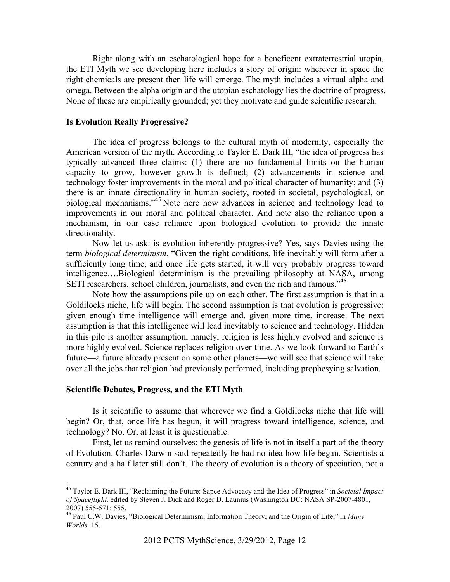Right along with an eschatological hope for a beneficent extraterrestrial utopia, the ETI Myth we see developing here includes a story of origin: wherever in space the right chemicals are present then life will emerge. The myth includes a virtual alpha and omega. Between the alpha origin and the utopian eschatology lies the doctrine of progress. None of these are empirically grounded; yet they motivate and guide scientific research.

## **Is Evolution Really Progressive?**

The idea of progress belongs to the cultural myth of modernity, especially the American version of the myth. According to Taylor E. Dark III, "the idea of progress has typically advanced three claims: (1) there are no fundamental limits on the human capacity to grow, however growth is defined; (2) advancements in science and technology foster improvements in the moral and political character of humanity; and (3) there is an innate directionality in human society, rooted in societal, psychological, or biological mechanisms."<sup>45</sup> Note here how advances in science and technology lead to improvements in our moral and political character. And note also the reliance upon a mechanism, in our case reliance upon biological evolution to provide the innate directionality.

Now let us ask: is evolution inherently progressive? Yes, says Davies using the term *biological determinism*. "Given the right conditions, life inevitably will form after a sufficiently long time, and once life gets started, it will very probably progress toward intelligence….Biological determinism is the prevailing philosophy at NASA, among SETI researchers, school children, journalists, and even the rich and famous.<sup>746</sup>

Note how the assumptions pile up on each other. The first assumption is that in a Goldilocks niche, life will begin. The second assumption is that evolution is progressive: given enough time intelligence will emerge and, given more time, increase. The next assumption is that this intelligence will lead inevitably to science and technology. Hidden in this pile is another assumption, namely, religion is less highly evolved and science is more highly evolved. Science replaces religion over time. As we look forward to Earth's future—a future already present on some other planets—we will see that science will take over all the jobs that religion had previously performed, including prophesying salvation.

# **Scientific Debates, Progress, and the ETI Myth**

Is it scientific to assume that wherever we find a Goldilocks niche that life will begin? Or, that, once life has begun, it will progress toward intelligence, science, and technology? No. Or, at least it is questionable.

First, let us remind ourselves: the genesis of life is not in itself a part of the theory of Evolution. Charles Darwin said repeatedly he had no idea how life began. Scientists a century and a half later still don't. The theory of evolution is a theory of speciation, not a

 <sup>45</sup> Taylor E. Dark III, "Reclaiming the Future: Sapce Advocacy and the Idea of Progress" in *Societal Impact of Spaceflight,* edited by Steven J. Dick and Roger D. Launius (Washington DC: NASA SP-2007-4801, 2007) 555-571: 555. 46 Paul C.W. Davies, "Biological Determinism, Information Theory, and the Origin of Life," in *Many* 

*Worlds,* 15.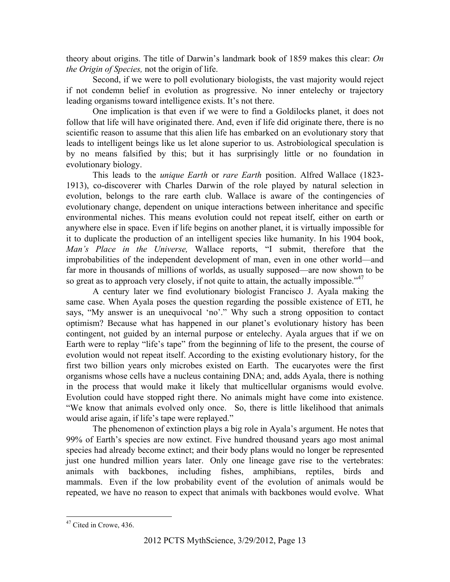theory about origins. The title of Darwin's landmark book of 1859 makes this clear: *On the Origin of Species,* not the origin of life.

Second, if we were to poll evolutionary biologists, the vast majority would reject if not condemn belief in evolution as progressive. No inner entelechy or trajectory leading organisms toward intelligence exists. It's not there.

One implication is that even if we were to find a Goldilocks planet, it does not follow that life will have originated there. And, even if life did originate there, there is no scientific reason to assume that this alien life has embarked on an evolutionary story that leads to intelligent beings like us let alone superior to us. Astrobiological speculation is by no means falsified by this; but it has surprisingly little or no foundation in evolutionary biology.

This leads to the *unique Earth* or *rare Earth* position. Alfred Wallace (1823- 1913), co-discoverer with Charles Darwin of the role played by natural selection in evolution, belongs to the rare earth club. Wallace is aware of the contingencies of evolutionary change, dependent on unique interactions between inheritance and specific environmental niches. This means evolution could not repeat itself, either on earth or anywhere else in space. Even if life begins on another planet, it is virtually impossible for it to duplicate the production of an intelligent species like humanity. In his 1904 book, *Man's Place in the Universe,* Wallace reports, "I submit, therefore that the improbabilities of the independent development of man, even in one other world—and far more in thousands of millions of worlds, as usually supposed—are now shown to be so great as to approach very closely, if not quite to attain, the actually impossible."<sup>47</sup>

A century later we find evolutionary biologist Francisco J. Ayala making the same case. When Ayala poses the question regarding the possible existence of ETI, he says, "My answer is an unequivocal 'no'." Why such a strong opposition to contact optimism? Because what has happened in our planet's evolutionary history has been contingent, not guided by an internal purpose or entelechy. Ayala argues that if we on Earth were to replay "life's tape" from the beginning of life to the present, the course of evolution would not repeat itself. According to the existing evolutionary history, for the first two billion years only microbes existed on Earth. The eucaryotes were the first organisms whose cells have a nucleus containing DNA; and, adds Ayala, there is nothing in the process that would make it likely that multicellular organisms would evolve. Evolution could have stopped right there. No animals might have come into existence. "We know that animals evolved only once. So, there is little likelihood that animals would arise again, if life's tape were replayed."

The phenomenon of extinction plays a big role in Ayala's argument. He notes that 99% of Earth's species are now extinct. Five hundred thousand years ago most animal species had already become extinct; and their body plans would no longer be represented just one hundred million years later. Only one lineage gave rise to the vertebrates: animals with backbones, including fishes, amphibians, reptiles, birds and mammals. Even if the low probability event of the evolution of animals would be repeated, we have no reason to expect that animals with backbones would evolve. What

<sup>&</sup>lt;sup>47</sup> Cited in Crowe, 436.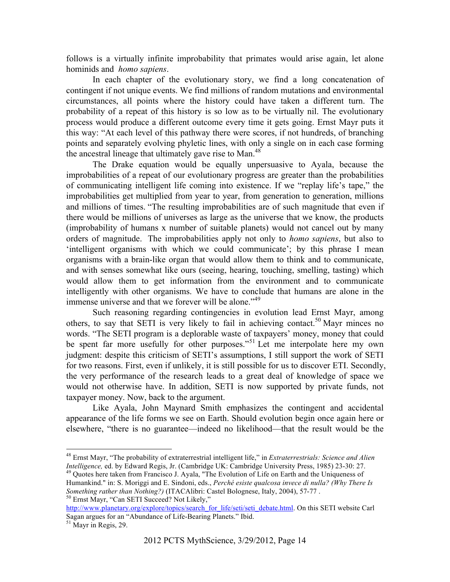follows is a virtually infinite improbability that primates would arise again, let alone hominids and *homo sapiens*.

In each chapter of the evolutionary story, we find a long concatenation of contingent if not unique events. We find millions of random mutations and environmental circumstances, all points where the history could have taken a different turn. The probability of a repeat of this history is so low as to be virtually nil. The evolutionary process would produce a different outcome every time it gets going. Ernst Mayr puts it this way: "At each level of this pathway there were scores, if not hundreds, of branching points and separately evolving phyletic lines, with only a single on in each case forming the ancestral lineage that ultimately gave rise to Man. $48$ 

The Drake equation would be equally unpersuasive to Ayala, because the improbabilities of a repeat of our evolutionary progress are greater than the probabilities of communicating intelligent life coming into existence. If we "replay life's tape," the improbabilities get multiplied from year to year, from generation to generation, millions and millions of times. "The resulting improbabilities are of such magnitude that even if there would be millions of universes as large as the universe that we know, the products (improbability of humans x number of suitable planets) would not cancel out by many orders of magnitude. The improbabilities apply not only to *homo sapiens*, but also to 'intelligent organisms with which we could communicate'; by this phrase I mean organisms with a brain-like organ that would allow them to think and to communicate, and with senses somewhat like ours (seeing, hearing, touching, smelling, tasting) which would allow them to get information from the environment and to communicate intelligently with other organisms. We have to conclude that humans are alone in the immense universe and that we forever will be alone."<sup>49</sup>

Such reasoning regarding contingencies in evolution lead Ernst Mayr, among others, to say that SETI is very likely to fail in achieving contact.<sup>50</sup> Mayr minces no words. "The SETI program is a deplorable waste of taxpayers' money, money that could be spent far more usefully for other purposes."<sup>51</sup> Let me interpolate here my own judgment: despite this criticism of SETI's assumptions, I still support the work of SETI for two reasons. First, even if unlikely, it is still possible for us to discover ETI. Secondly, the very performance of the research leads to a great deal of knowledge of space we would not otherwise have. In addition, SETI is now supported by private funds, not taxpayer money. Now, back to the argument.

Like Ayala, John Maynard Smith emphasizes the contingent and accidental appearance of the life forms we see on Earth. Should evolution begin once again here or elsewhere, "there is no guarantee—indeed no likelihood—that the result would be the

Humankind." in: S. Moriggi and E. Sindoni, eds., *Perché esiste qualcosa invece di nulla? (Why There Is Something rather than Nothing?)* (ITACAlibri: Castel Bolognese, Italy, 2004), 57-77. <sup>50</sup> Ernst Mayr, "Can SETI Succeed? Not Likely,"

http://www.planetary.org/explore/topics/search\_for\_life/seti/seti\_debate.html. On this SETI website Carl Sagan argues for an "Abundance of Life-Bearing Planets." Ibid. 51 Mayr in Regis, 29.

 <sup>48</sup> Ernst Mayr, "The probability of extraterrestrial intelligent life," in *Extraterrestrials: Science and Alien Intelligence,* ed. by Edward Regis, Jr. (Cambridge UK: Cambridge University Press, 1985) 23-30: 27. <sup>49</sup> Quotes here taken from Francisco J. Ayala, "The Evolution of Life on Earth and the Uniqueness of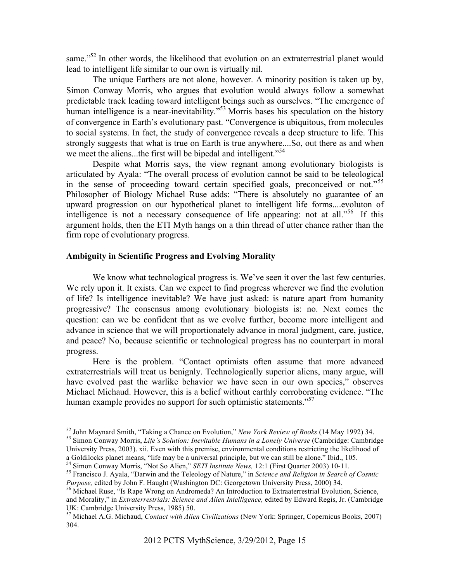same."<sup>52</sup> In other words, the likelihood that evolution on an extraterrestrial planet would lead to intelligent life similar to our own is virtually nil.

The unique Earthers are not alone, however. A minority position is taken up by, Simon Conway Morris, who argues that evolution would always follow a somewhat predictable track leading toward intelligent beings such as ourselves. "The emergence of human intelligence is a near-inevitability."<sup>53</sup> Morris bases his speculation on the history of convergence in Earth's evolutionary past. "Convergence is ubiquitous, from molecules to social systems. In fact, the study of convergence reveals a deep structure to life. This strongly suggests that what is true on Earth is true anywhere....So, out there as and when we meet the aliens...the first will be bipedal and intelligent.<sup>54</sup>

Despite what Morris says, the view regnant among evolutionary biologists is articulated by Ayala: "The overall process of evolution cannot be said to be teleological in the sense of proceeding toward certain specified goals, preconceived or not."<sup>55</sup> Philosopher of Biology Michael Ruse adds: "There is absolutely no guarantee of an upward progression on our hypothetical planet to intelligent life forms....evoluton of intelligence is not a necessary consequence of life appearing: not at all.<sup> $56$ </sup> If this argument holds, then the ETI Myth hangs on a thin thread of utter chance rather than the firm rope of evolutionary progress.

# **Ambiguity in Scientific Progress and Evolving Morality**

We know what technological progress is. We've seen it over the last few centuries. We rely upon it. It exists. Can we expect to find progress wherever we find the evolution of life? Is intelligence inevitable? We have just asked: is nature apart from humanity progressive? The consensus among evolutionary biologists is: no. Next comes the question: can we be confident that as we evolve further, become more intelligent and advance in science that we will proportionately advance in moral judgment, care, justice, and peace? No, because scientific or technological progress has no counterpart in moral progress.

Here is the problem. "Contact optimists often assume that more advanced extraterrestrials will treat us benignly. Technologically superior aliens, many argue, will have evolved past the warlike behavior we have seen in our own species," observes Michael Michaud. However, this is a belief without earthly corroborating evidence. "The human example provides no support for such optimistic statements."<sup>57</sup>

<sup>&</sup>lt;sup>52</sup> John Maynard Smith, "Taking a Chance on Evolution," *New York Review of Books* (14 May 1992) 34.<br><sup>53</sup> Simon Conway Morris, *Life's Solution: Inevitable Humans in a Lonely Universe* (Cambridge: Cambridge

University Press, 2003). xii. Even with this premise, environmental conditions restricting the likelihood of a Goldilocks planet means, "life may be a universal principle, but we can still be alone." Ibid., 105.<br><sup>54</sup> Simon Conway Morris, "Not So Alien," *SETI Institute News*, 12:1 (First Quarter 2003) 10-11.

<sup>&</sup>lt;sup>55</sup> Francisco J. Ayala, "Darwin and the Teleology of Nature," in *Science and Religion in Search of Cosmic Purpose*, edited by John F. Haught (Washington DC: Georgetown University Press, 2000) 34.

<sup>&</sup>lt;sup>56</sup> Michael Ruse, "Is Rape Wrong on Andromeda? An Introduction to Extraaterrestrial Evolution, Science, and Morality," in *Extraterrestrials: Science and Alien Intelligence,* edited by Edward Regis, Jr. (Cambridge UK: Cambridge University Press, 1985) 50.

<sup>57</sup> Michael A.G. Michaud, *Contact with Alien Civilizations* (New York: Springer, Copernicus Books, 2007) 304.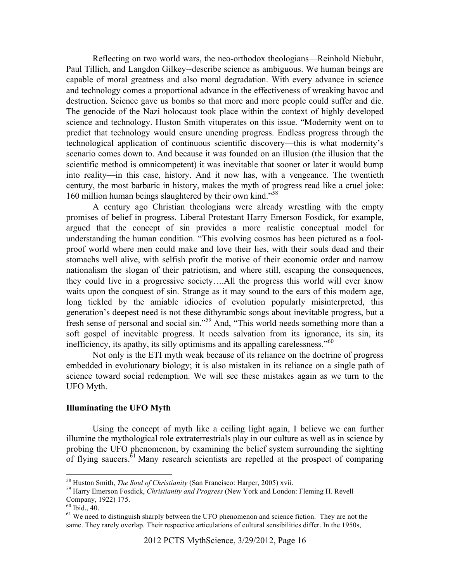Reflecting on two world wars, the neo-orthodox theologians—Reinhold Niebuhr, Paul Tillich, and Langdon Gilkey--describe science as ambiguous. We human beings are capable of moral greatness and also moral degradation. With every advance in science and technology comes a proportional advance in the effectiveness of wreaking havoc and destruction. Science gave us bombs so that more and more people could suffer and die. The genocide of the Nazi holocaust took place within the context of highly developed science and technology. Huston Smith vituperates on this issue. "Modernity went on to predict that technology would ensure unending progress. Endless progress through the technological application of continuous scientific discovery—this is what modernity's scenario comes down to. And because it was founded on an illusion (the illusion that the scientific method is omnicompetent) it was inevitable that sooner or later it would bump into reality—in this case, history. And it now has, with a vengeance. The twentieth century, the most barbaric in history, makes the myth of progress read like a cruel joke: 160 million human beings slaughtered by their own kind."<sup>58</sup>

A century ago Christian theologians were already wrestling with the empty promises of belief in progress. Liberal Protestant Harry Emerson Fosdick, for example, argued that the concept of sin provides a more realistic conceptual model for understanding the human condition. "This evolving cosmos has been pictured as a foolproof world where men could make and love their lies, with their souls dead and their stomachs well alive, with selfish profit the motive of their economic order and narrow nationalism the slogan of their patriotism, and where still, escaping the consequences, they could live in a progressive society….All the progress this world will ever know waits upon the conquest of sin. Strange as it may sound to the ears of this modern age, long tickled by the amiable idiocies of evolution popularly misinterpreted, this generation's deepest need is not these dithyrambic songs about inevitable progress, but a fresh sense of personal and social sin."59 And, "This world needs something more than a soft gospel of inevitable progress. It needs salvation from its ignorance, its sin, its inefficiency, its apathy, its silly optimisms and its appalling carelessness."<sup>60</sup>

Not only is the ETI myth weak because of its reliance on the doctrine of progress embedded in evolutionary biology; it is also mistaken in its reliance on a single path of science toward social redemption. We will see these mistakes again as we turn to the UFO Myth.

## **Illuminating the UFO Myth**

Using the concept of myth like a ceiling light again, I believe we can further illumine the mythological role extraterrestrials play in our culture as well as in science by probing the UFO phenomenon, by examining the belief system surrounding the sighting of flying saucers. $61$  Many research scientists are repelled at the prospect of comparing

 <sup>58</sup> Huston Smith, *The Soul of Christianity* (San Francisco: Harper, 2005) xvii. <sup>59</sup> Harry Emerson Fosdick, *Christianity and Progress* (New York and London: Fleming H. Revell Company, 1922) 175.<br><sup>60</sup> Ibid., 40.

<sup>&</sup>lt;sup>61</sup> We need to distinguish sharply between the UFO phenomenon and science fiction. They are not the same. They rarely overlap. Their respective articulations of cultural sensibilities differ. In the 1950s,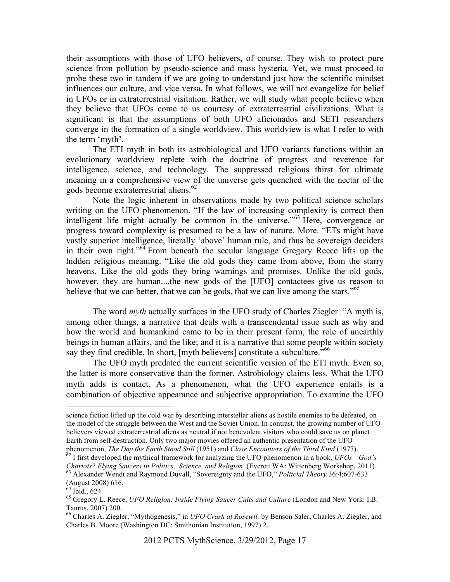their assumptions with those of UFO believers, of course. They wish to protect pure science from pollution by pseudo-science and mass hysteria. Yet, we must proceed to probe these two in tandem if we are going to understand just how the scientific mindset influences our culture, and vice versa. In what follows, we will not evangelize for belief in UFOs or in extraterrestrial visitation. Rather, we will study what people believe when they believe that UFOs come to us courtesy of extraterrestrial civilizations. What is significant is that the assumptions of both UFO aficionados and SETI researchers converge in the formation of a single worldview. This worldview is what I refer to with the term 'myth'.

The ETI myth in both its astrobiological and UFO variants functions within an evolutionary worldview replete with the doctrine of progress and reverence for intelligence, science, and technology. The suppressed religious thirst for ultimate meaning in a comprehensive view of the universe gets quenched with the nectar of the gods become extraterrestrial aliens.<sup>62</sup>

Note the logic inherent in observations made by two political science scholars writing on the UFO phenomenon. "If the law of increasing complexity is correct then intelligent life might actually be common in the universe."63 Here, convergence or progress toward complexity is presumed to be a law of nature. More. "ETs might have vastly superior intelligence, literally 'above' human rule, and thus be sovereign deciders in their own right."<sup>64</sup> From beneath the secular language Gregory Reece lifts up the hidden religious meaning. "Like the old gods they came from above, from the starry heavens. Like the old gods they bring warnings and promises. Unlike the old gods, however, they are human....the new gods of the [UFO] contactees give us reason to believe that we can better, that we can be gods, that we can live among the stars."<sup>65</sup>

The word *myth* actually surfaces in the UFO study of Charles Ziegler. "A myth is, among other things, a narrative that deals with a transcendental issue such as why and how the world and humankind came to be in their present form, the role of unearthly beings in human affairs, and the like; and it is a narrative that some people within society say they find credible. In short, [myth believers] constitute a subculture.<sup>"66</sup>

The UFO myth predated the current scientific version of the ETI myth. Even so, the latter is more conservative than the former. Astrobiology claims less. What the UFO myth adds is contact. As a phenomenon, what the UFO experience entails is a combination of objective appearance and subjective appropriation. To examine the UFO

science fiction lifted up the cold war by describing interstellar aliens as hostile enemies to be defeated, on the model of the struggle between the West and the Soviet Union. In contrast, the growing number of UFO believers viewed extraterrestrial aliens as neutral if not benevolent visitors who could save us on planet Earth from self-destruction. Only two major movies offered an authentic presentation of the UFO phenomenon, *The Day the Earth Stood Still* (1951) and *Close Encounters of the Third Kind* (1977).<br><sup>62</sup> I first developed the mythical framework for analyzing the UFO phenomenon in a book, *UFOs—God's* 

*Chariots? Flying Saucers in Politics, Science, and Religion* (Everett WA: Wittenberg Workshop, 2011). 63 Alexander Wendt and Raymond Duvall, "Sovereignty and the UFO," *Politcial Theory* 36:4:607-633 (August 2008) 616.

 $64$  Ibid., 624.

<sup>65</sup> Gregory L. Reece, *UFO Religion: Inside Flying Saucer Cults and Culture* (London and New York: I.B. Taurus, 2007) 200.

<sup>66</sup> Charles A. Ziegler, "Mythogenesis," in *UFO Crash at Rosewll,* by Benson Saler, Charles A. Ziegler, and Charles B. Moore (Washington DC: Smithonian Institution, 1997) 2.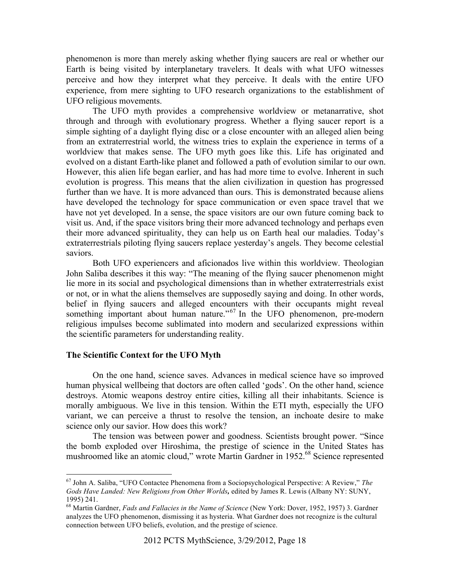phenomenon is more than merely asking whether flying saucers are real or whether our Earth is being visited by interplanetary travelers. It deals with what UFO witnesses perceive and how they interpret what they perceive. It deals with the entire UFO experience, from mere sighting to UFO research organizations to the establishment of UFO religious movements.

The UFO myth provides a comprehensive worldview or metanarrative, shot through and through with evolutionary progress. Whether a flying saucer report is a simple sighting of a daylight flying disc or a close encounter with an alleged alien being from an extraterrestrial world, the witness tries to explain the experience in terms of a worldview that makes sense. The UFO myth goes like this. Life has originated and evolved on a distant Earth-like planet and followed a path of evolution similar to our own. However, this alien life began earlier, and has had more time to evolve. Inherent in such evolution is progress. This means that the alien civilization in question has progressed further than we have. It is more advanced than ours. This is demonstrated because aliens have developed the technology for space communication or even space travel that we have not yet developed. In a sense, the space visitors are our own future coming back to visit us. And, if the space visitors bring their more advanced technology and perhaps even their more advanced spirituality, they can help us on Earth heal our maladies. Today's extraterrestrials piloting flying saucers replace yesterday's angels. They become celestial saviors.

Both UFO experiencers and aficionados live within this worldview. Theologian John Saliba describes it this way: "The meaning of the flying saucer phenomenon might lie more in its social and psychological dimensions than in whether extraterrestrials exist or not, or in what the aliens themselves are supposedly saying and doing. In other words, belief in flying saucers and alleged encounters with their occupants might reveal something important about human nature."<sup>67</sup> In the UFO phenomenon, pre-modern religious impulses become sublimated into modern and secularized expressions within the scientific parameters for understanding reality.

# **The Scientific Context for the UFO Myth**

On the one hand, science saves. Advances in medical science have so improved human physical wellbeing that doctors are often called 'gods'. On the other hand, science destroys. Atomic weapons destroy entire cities, killing all their inhabitants. Science is morally ambiguous. We live in this tension. Within the ETI myth, especially the UFO variant, we can perceive a thrust to resolve the tension, an inchoate desire to make science only our savior. How does this work?

The tension was between power and goodness. Scientists brought power. "Since the bomb exploded over Hiroshima, the prestige of science in the United States has mushroomed like an atomic cloud," wrote Martin Gardner in 1952.<sup>68</sup> Science represented

 <sup>67</sup> John A. Saliba, "UFO Contactee Phenomena from a Sociopsychological Perspective: A Review," *The Gods Have Landed: New Religions from Other Worlds,* edited by James R. Lewis (Albany NY: SUNY, 1995) 241.

<sup>68</sup> Martin Gardner, *Fads and Fallacies in the Name of Science* (New York: Dover, 1952, 1957) 3. Gardner analyzes the UFO phenomenon, dismissing it as hysteria. What Gardner does not recognize is the cultural connection between UFO beliefs, evolution, and the prestige of science.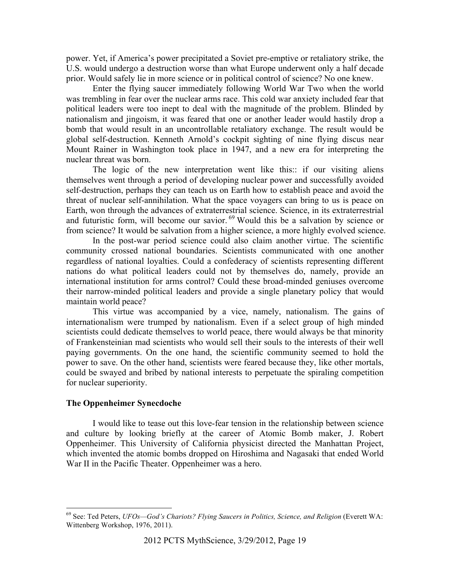power. Yet, if America's power precipitated a Soviet pre-emptive or retaliatory strike, the U.S. would undergo a destruction worse than what Europe underwent only a half decade prior. Would safely lie in more science or in political control of science? No one knew.

Enter the flying saucer immediately following World War Two when the world was trembling in fear over the nuclear arms race. This cold war anxiety included fear that political leaders were too inept to deal with the magnitude of the problem. Blinded by nationalism and jingoism, it was feared that one or another leader would hastily drop a bomb that would result in an uncontrollable retaliatory exchange. The result would be global self-destruction. Kenneth Arnold's cockpit sighting of nine flying discus near Mount Rainer in Washington took place in 1947, and a new era for interpreting the nuclear threat was born.

The logic of the new interpretation went like this:: if our visiting aliens themselves went through a period of developing nuclear power and successfully avoided self-destruction, perhaps they can teach us on Earth how to establish peace and avoid the threat of nuclear self-annihilation. What the space voyagers can bring to us is peace on Earth, won through the advances of extraterrestrial science. Science, in its extraterrestrial and futuristic form, will become our savior. 69 Would this be a salvation by science or from science? It would be salvation from a higher science, a more highly evolved science.

In the post-war period science could also claim another virtue. The scientific community crossed national boundaries. Scientists communicated with one another regardless of national loyalties. Could a confederacy of scientists representing different nations do what political leaders could not by themselves do, namely, provide an international institution for arms control? Could these broad-minded geniuses overcome their narrow-minded political leaders and provide a single planetary policy that would maintain world peace?

This virtue was accompanied by a vice, namely, nationalism. The gains of internationalism were trumped by nationalism. Even if a select group of high minded scientists could dedicate themselves to world peace, there would always be that minority of Frankensteinian mad scientists who would sell their souls to the interests of their well paying governments. On the one hand, the scientific community seemed to hold the power to save. On the other hand, scientists were feared because they, like other mortals, could be swayed and bribed by national interests to perpetuate the spiraling competition for nuclear superiority.

## **The Oppenheimer Synecdoche**

I would like to tease out this love-fear tension in the relationship between science and culture by looking briefly at the career of Atomic Bomb maker, J. Robert Oppenheimer. This University of California physicist directed the Manhattan Project, which invented the atomic bombs dropped on Hiroshima and Nagasaki that ended World War II in the Pacific Theater. Oppenheimer was a hero.

<sup>&</sup>lt;sup>69</sup> See: Ted Peters, *UFOs*—God's Chariots? Flying Saucers in Politics, Science, and Religion (Everett WA: Wittenberg Workshop, 1976, 2011).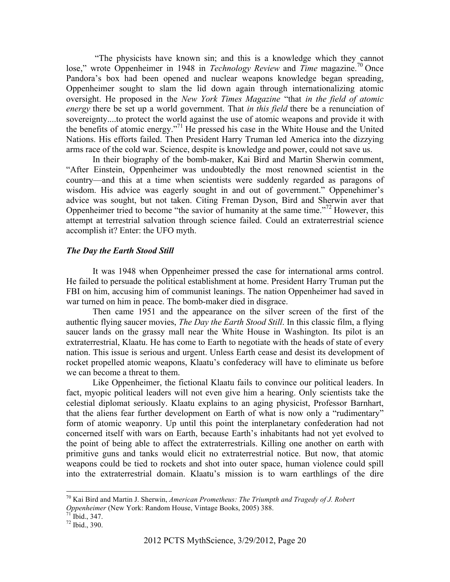"The physicists have known sin; and this is a knowledge which they cannot lose," wrote Oppenheimer in 1948 in *Technology Review* and *Time* magazine.<sup>70</sup> Once Pandora's box had been opened and nuclear weapons knowledge began spreading, Oppenheimer sought to slam the lid down again through internationalizing atomic oversight. He proposed in the *New York Times Magazine* "that *in the field of atomic energy* there be set up a world government. That *in this field* there be a renunciation of sovereignty....to protect the world against the use of atomic weapons and provide it with the benefits of atomic energy."71 He pressed his case in the White House and the United Nations. His efforts failed. Then President Harry Truman led America into the dizzying arms race of the cold war. Science, despite is knowledge and power, could not save us.

In their biography of the bomb-maker, Kai Bird and Martin Sherwin comment, "After Einstein, Oppenheimer was undoubtedly the most renowned scientist in the country—and this at a time when scientists were suddenly regarded as paragons of wisdom. His advice was eagerly sought in and out of government." Oppenehimer's advice was sought, but not taken. Citing Freman Dyson, Bird and Sherwin aver that Oppenheimer tried to become "the savior of humanity at the same time."72 However, this attempt at terrestrial salvation through science failed. Could an extraterrestrial science accomplish it? Enter: the UFO myth.

#### *The Day the Earth Stood Still*

It was 1948 when Oppenheimer pressed the case for international arms control. He failed to persuade the political establishment at home. President Harry Truman put the FBI on him, accusing him of communist leanings. The nation Oppenheimer had saved in war turned on him in peace. The bomb-maker died in disgrace.

Then came 1951 and the appearance on the silver screen of the first of the authentic flying saucer movies, *The Day the Earth Stood Still*. In this classic film, a flying saucer lands on the grassy mall near the White House in Washington. Its pilot is an extraterrestrial, Klaatu. He has come to Earth to negotiate with the heads of state of every nation. This issue is serious and urgent. Unless Earth cease and desist its development of rocket propelled atomic weapons, Klaatu's confederacy will have to eliminate us before we can become a threat to them.

Like Oppenheimer, the fictional Klaatu fails to convince our political leaders. In fact, myopic political leaders will not even give him a hearing. Only scientists take the celestial diplomat seriously. Klaatu explains to an aging physicist, Professor Barnhart, that the aliens fear further development on Earth of what is now only a "rudimentary" form of atomic weaponry. Up until this point the interplanetary confederation had not concerned itself with wars on Earth, because Earth's inhabitants had not yet evolved to the point of being able to affect the extraterrestrials. Killing one another on earth with primitive guns and tanks would elicit no extraterrestrial notice. But now, that atomic weapons could be tied to rockets and shot into outer space, human violence could spill into the extraterrestrial domain. Klaatu's mission is to warn earthlings of the dire

 <sup>70</sup> Kai Bird and Martin J. Sherwin, *American Prometheus: The Triumpth and Tragedy of J. Robert Oppenheimer* (New York: Random House, Vintage Books, 2005) 388.<br><sup>71</sup> Ibid., 347.

<sup>72</sup> Ibid., 390.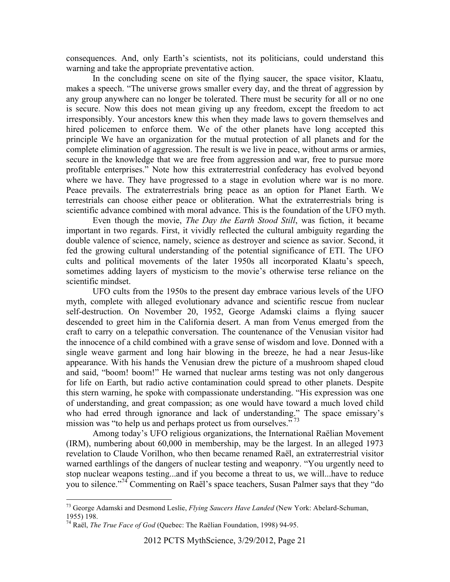consequences. And, only Earth's scientists, not its politicians, could understand this warning and take the appropriate preventative action.

In the concluding scene on site of the flying saucer, the space visitor, Klaatu, makes a speech. "The universe grows smaller every day, and the threat of aggression by any group anywhere can no longer be tolerated. There must be security for all or no one is secure. Now this does not mean giving up any freedom, except the freedom to act irresponsibly. Your ancestors knew this when they made laws to govern themselves and hired policemen to enforce them. We of the other planets have long accepted this principle We have an organization for the mutual protection of all planets and for the complete elimination of aggression. The result is we live in peace, without arms or armies, secure in the knowledge that we are free from aggression and war, free to pursue more profitable enterprises." Note how this extraterrestrial confederacy has evolved beyond where we have. They have progressed to a stage in evolution where war is no more. Peace prevails. The extraterrestrials bring peace as an option for Planet Earth. We terrestrials can choose either peace or obliteration. What the extraterrestrials bring is scientific advance combined with moral advance. This is the foundation of the UFO myth.

Even though the movie, *The Day the Earth Stood Still*, was fiction, it became important in two regards. First, it vividly reflected the cultural ambiguity regarding the double valence of science, namely, science as destroyer and science as savior. Second, it fed the growing cultural understanding of the potential significance of ETI. The UFO cults and political movements of the later 1950s all incorporated Klaatu's speech, sometimes adding layers of mysticism to the movie's otherwise terse reliance on the scientific mindset.

UFO cults from the 1950s to the present day embrace various levels of the UFO myth, complete with alleged evolutionary advance and scientific rescue from nuclear self-destruction. On November 20, 1952, George Adamski claims a flying saucer descended to greet him in the California desert. A man from Venus emerged from the craft to carry on a telepathic conversation. The countenance of the Venusian visitor had the innocence of a child combined with a grave sense of wisdom and love. Donned with a single weave garment and long hair blowing in the breeze, he had a near Jesus-like appearance. With his hands the Venusian drew the picture of a mushroom shaped cloud and said, "boom! boom!" He warned that nuclear arms testing was not only dangerous for life on Earth, but radio active contamination could spread to other planets. Despite this stern warning, he spoke with compassionate understanding. "His expression was one of understanding, and great compassion; as one would have toward a much loved child who had erred through ignorance and lack of understanding." The space emissary's mission was "to help us and perhaps protect us from ourselves."<sup>73</sup>

Among today's UFO religious organizations, the International Raëlian Movement (IRM), numbering about 60,000 in membership, may be the largest. In an alleged 1973 revelation to Claude Vorilhon, who then became renamed Raël, an extraterrestrial visitor warned earthlings of the dangers of nuclear testing and weaponry. "You urgently need to stop nuclear weapons testing...and if you become a threat to us, we will...have to reduce you to silence."74 Commenting on Raël's space teachers, Susan Palmer says that they "do

 <sup>73</sup> George Adamski and Desmond Leslie, *Flying Saucers Have Landed* (New York: Abelard-Schuman, 1955) 198.

<sup>74</sup> Raël, *The True Face of God* (Quebec: The Raëlian Foundation, 1998) 94-95.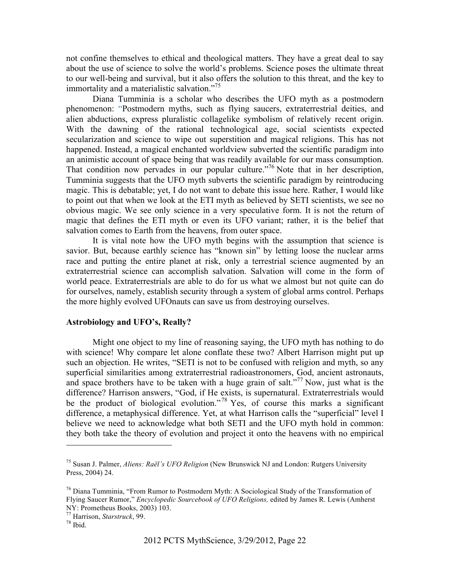not confine themselves to ethical and theological matters. They have a great deal to say about the use of science to solve the world's problems. Science poses the ultimate threat to our well-being and survival, but it also offers the solution to this threat, and the key to immortality and a materialistic salvation."<sup>75</sup>

Diana Tumminia is a scholar who describes the UFO myth as a postmodern phenomenon: "Postmodern myths, such as flying saucers, extraterrestrial deities, and alien abductions, express pluralistic collagelike symbolism of relatively recent origin. With the dawning of the rational technological age, social scientists expected secularization and science to wipe out superstition and magical religions. This has not happened. Instead, a magical enchanted worldview subverted the scientific paradigm into an animistic account of space being that was readily available for our mass consumption. That condition now pervades in our popular culture."76 Note that in her description, Tumminia suggests that the UFO myth subverts the scientific paradigm by reintroducing magic. This is debatable; yet, I do not want to debate this issue here. Rather, I would like to point out that when we look at the ETI myth as believed by SETI scientists, we see no obvious magic. We see only science in a very speculative form. It is not the return of magic that defines the ETI myth or even its UFO variant; rather, it is the belief that salvation comes to Earth from the heavens, from outer space.

It is vital note how the UFO myth begins with the assumption that science is savior. But, because earthly science has "known sin" by letting loose the nuclear arms race and putting the entire planet at risk, only a terrestrial science augmented by an extraterrestrial science can accomplish salvation. Salvation will come in the form of world peace. Extraterrestrials are able to do for us what we almost but not quite can do for ourselves, namely, establish security through a system of global arms control. Perhaps the more highly evolved UFOnauts can save us from destroying ourselves.

### **Astrobiology and UFO's, Really?**

Might one object to my line of reasoning saying, the UFO myth has nothing to do with science! Why compare let alone conflate these two? Albert Harrison might put up such an objection. He writes, "SETI is not to be confused with religion and myth, so any superficial similarities among extraterrestrial radioastronomers, God, ancient astronauts, and space brothers have to be taken with a huge grain of salt."<sup>77</sup> Now, just what is the difference? Harrison answers, "God, if He exists, is supernatural. Extraterrestrials would be the product of biological evolution."<sup>78</sup> Yes, of course this marks a significant difference, a metaphysical difference. Yet, at what Harrison calls the "superficial" level I believe we need to acknowledge what both SETI and the UFO myth hold in common: they both take the theory of evolution and project it onto the heavens with no empirical

 $\overline{a}$ 

<sup>75</sup> Susan J. Palmer, *Aliens: Raël's UFO Religion* (New Brunswick NJ and London: Rutgers University Press, 2004) 24.

 $^{76}$  Diana Tumminia, "From Rumor to Postmodern Myth: A Sociological Study of the Transformation of Flying Saucer Rumor," *Encyclopedic Sourcebook of UFO Religions,* edited by James R. Lewis (Amherst NY: Prometheus Books, 2003) 103.

<sup>77</sup> Harrison, *Starstruck*, 99. 78 Ibid.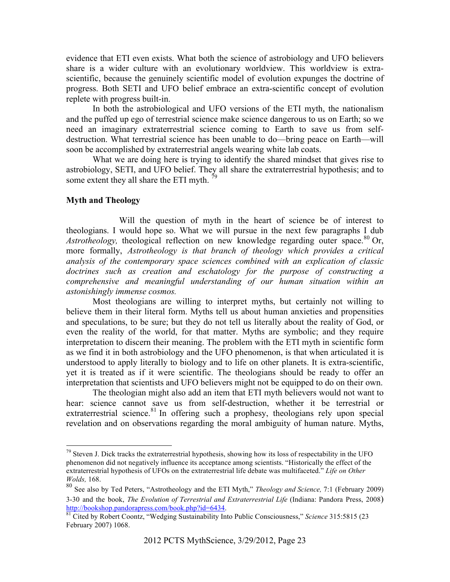evidence that ETI even exists. What both the science of astrobiology and UFO believers share is a wider culture with an evolutionary worldview. This worldview is extrascientific, because the genuinely scientific model of evolution expunges the doctrine of progress. Both SETI and UFO belief embrace an extra-scientific concept of evolution replete with progress built-in.

In both the astrobiological and UFO versions of the ETI myth, the nationalism and the puffed up ego of terrestrial science make science dangerous to us on Earth; so we need an imaginary extraterrestrial science coming to Earth to save us from selfdestruction. What terrestrial science has been unable to do—bring peace on Earth—will soon be accomplished by extraterrestrial angels wearing white lab coats.

What we are doing here is trying to identify the shared mindset that gives rise to astrobiology, SETI, and UFO belief. They all share the extraterrestrial hypothesis; and to some extent they all share the ETI myth.  $\frac{7}{2}$ 

# **Myth and Theology**

Will the question of myth in the heart of science be of interest to theologians. I would hope so. What we will pursue in the next few paragraphs I dub *Astrotheology,* theological reflection on new knowledge regarding outer space.<sup>80</sup> Or, more formally, *Astrotheology is that branch of theology which provides a critical analysis of the contemporary space sciences combined with an explication of classic doctrines such as creation and eschatology for the purpose of constructing a comprehensive and meaningful understanding of our human situation within an astonishingly immense cosmos.* 

Most theologians are willing to interpret myths, but certainly not willing to believe them in their literal form. Myths tell us about human anxieties and propensities and speculations, to be sure; but they do not tell us literally about the reality of God, or even the reality of the world, for that matter. Myths are symbolic; and they require interpretation to discern their meaning. The problem with the ETI myth in scientific form as we find it in both astrobiology and the UFO phenomenon, is that when articulated it is understood to apply literally to biology and to life on other planets. It is extra-scientific, yet it is treated as if it were scientific. The theologians should be ready to offer an interpretation that scientists and UFO believers might not be equipped to do on their own.

The theologian might also add an item that ETI myth believers would not want to hear: science cannot save us from self-destruction, whether it be terrestrial or extraterrestrial science.<sup>81</sup> In offering such a prophesy, theologians rely upon special revelation and on observations regarding the moral ambiguity of human nature. Myths,

 $79$  Steven J. Dick tracks the extraterrestrial hypothesis, showing how its loss of respectability in the UFO phenomenon did not negatively influence its acceptance among scientists. "Historically the effect of the extraterrestrial hypothesis of UFOs on the extraterrestrial life debate was multifaceted." *Life on Other Wolds,* 168.

<sup>80</sup> See also by Ted Peters, "Astrotheology and the ETI Myth," *Theology and Science,* 7:1 (February 2009) 3-30 and the book, *The Evolution of Terrestrial and Extraterrestrial Life* (Indiana: Pandora Press, 2008) http://bookshop.pandorapress.com/book.php?id=6434.

and Structure of Figures 215. 5815 (234. 81 Cited by Robert Coontz, "Wedging Sustainability Into Public Consciousness," *Science* 315:5815 (23 February 2007) 1068.